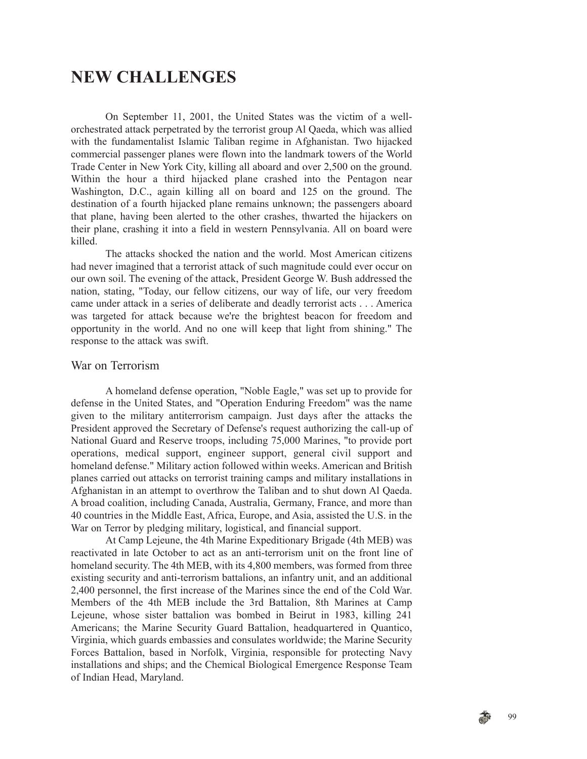## **NEW CHALLENGES**

On September 11, 2001, the United States was the victim of a wellorchestrated attack perpetrated by the terrorist group Al Qaeda, which was allied with the fundamentalist Islamic Taliban regime in Afghanistan. Two hijacked commercial passenger planes were flown into the landmark towers of the World Trade Center in New York City, killing all aboard and over 2,500 on the ground. Within the hour a third hijacked plane crashed into the Pentagon near Washington, D.C., again killing all on board and 125 on the ground. The destination of a fourth hijacked plane remains unknown; the passengers aboard that plane, having been alerted to the other crashes, thwarted the hijackers on their plane, crashing it into a field in western Pennsylvania. All on board were killed.

The attacks shocked the nation and the world. Most American citizens had never imagined that a terrorist attack of such magnitude could ever occur on our own soil. The evening of the attack, President George W. Bush addressed the nation, stating, "Today, our fellow citizens, our way of life, our very freedom came under attack in a series of deliberate and deadly terrorist acts . . . America was targeted for attack because we're the brightest beacon for freedom and opportunity in the world. And no one will keep that light from shining." The response to the attack was swift.

## War on Terrorism

A homeland defense operation, "Noble Eagle," was set up to provide for defense in the United States, and "Operation Enduring Freedom" was the name given to the military antiterrorism campaign. Just days after the attacks the President approved the Secretary of Defense's request authorizing the call-up of National Guard and Reserve troops, including 75,000 Marines, "to provide port operations, medical support, engineer support, general civil support and homeland defense." Military action followed within weeks. American and British planes carried out attacks on terrorist training camps and military installations in Afghanistan in an attempt to overthrow the Taliban and to shut down Al Qaeda. A broad coalition, including Canada, Australia, Germany, France, and more than 40 countries in the Middle East, Africa, Europe, and Asia, assisted the U.S. in the War on Terror by pledging military, logistical, and financial support.

At Camp Lejeune, the 4th Marine Expeditionary Brigade (4th MEB) was reactivated in late October to act as an anti-terrorism unit on the front line of homeland security. The 4th MEB, with its 4,800 members, was formed from three existing security and anti-terrorism battalions, an infantry unit, and an additional 2,400 personnel, the first increase of the Marines since the end of the Cold War. Members of the 4th MEB include the 3rd Battalion, 8th Marines at Camp Lejeune, whose sister battalion was bombed in Beirut in 1983, killing 241 Americans; the Marine Security Guard Battalion, headquartered in Quantico, Virginia, which guards embassies and consulates worldwide; the Marine Security Forces Battalion, based in Norfolk, Virginia, responsible for protecting Navy installations and ships; and the Chemical Biological Emergence Response Team of Indian Head, Maryland.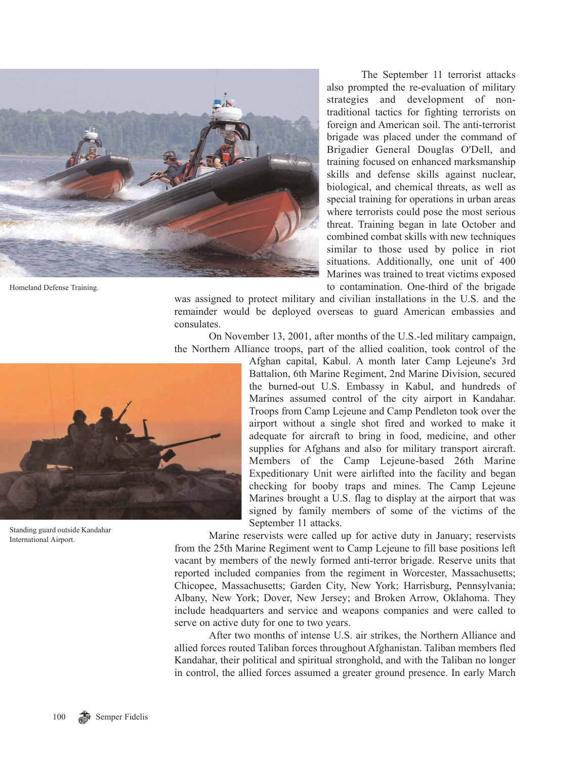

Homeland Defense Training.

The September 11 terrorist attacks also prompted the re-evaluation of military strategies and development of nontraditional tactics for fighting terrorists on foreign and American soil. The anti-terrorist brigade was placed under the command of Brigadier General Douglas O'Dell, and training focused on enhanced marksmanship skills and defense skills against nuclear, biological, and chemical threats, as well as special training for operations in urban areas where terrorists could pose the most serious threat. Training began in late October and combined combat skills with new techniques similar to those used by police in riot situations. Additionally, one unit of 400 Marines was trained to treat victims exposed to contamination. One-third of the brigade

was assigned to protect military and civilian installations in the U.S. and the remainder would be deployed overseas to guard American embassies and consulates.

On November 13, 2001, after months of the U.S.-led military campaign, the Northern Alliance troops, part of the allied coalition, took control of the



Standing guard outside Kandahar International Airport.

Afghan capital, Kabul. A month later Camp Lejeune's 3rd Battalion, 6th Marine Regiment, 2nd Marine Division, secured the burned-out U.S. Embassy in Kabul, and hundreds of Marines assumed control of the city airport in Kandahar. Troops from Camp Lejeune and Camp Pendleton took over the airport without a single shot fired and worked to make it adequate for aircraft to bring in food, medicine, and other supplies for Afghans and also for military transport aircraft. Members of the Camp Lejeune-based 26th Marine Expeditionary Unit were airlifted into the facility and began checking for booby traps and mines. The Camp Lejeune Marines brought a U.S. flag to display at the airport that was signed by family members of some of the victims of the September 11 attacks.

Marine reservists were called up for active duty in January; reservists from the 25th Marine Regiment went to Camp Lejeune to fill base positions left vacant by members of the newly formed anti-terror brigade. Reserve units that reported included companies from the regiment in Worcester, Massachusetts; Chicopee, Massachusetts; Garden City, New York; Harrisburg, Pennsylvania; Albany, New York; Dover, New Jersey; and Broken Arrow, Oklahoma. They include headquarters and service and weapons companies and were called to serve on active duty for one to two years.

After two months of intense U.S. air strikes, the Northern Alliance and allied forces routed Taliban forces throughout Afghanistan. Taliban members fled Kandahar, their political and spiritual stronghold, and with the Taliban no longer in control, the allied forces assumed a greater ground presence. In early March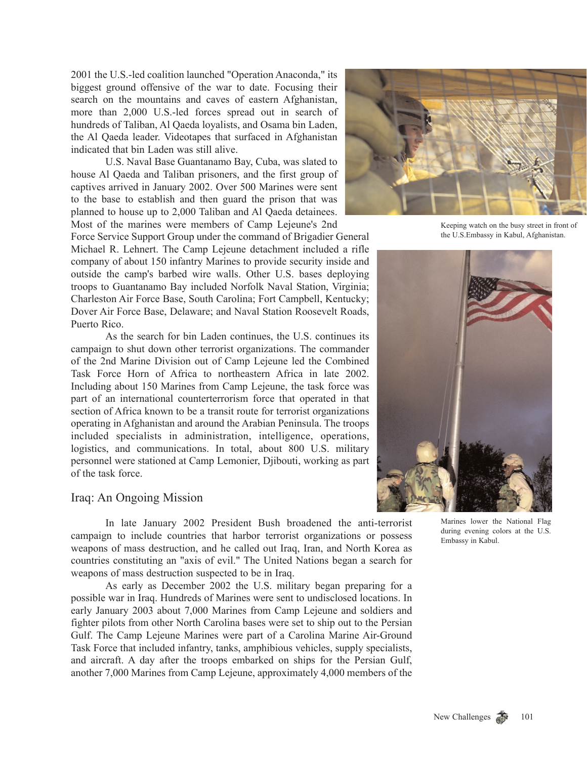2001 the U.S.-led coalition launched "Operation Anaconda," its biggest ground offensive of the war to date. Focusing their search on the mountains and caves of eastern Afghanistan, more than 2,000 U.S.-led forces spread out in search of hundreds of Taliban, Al Qaeda loyalists, and Osama bin Laden, the Al Qaeda leader. Videotapes that surfaced in Afghanistan indicated that bin Laden was still alive.

U.S. Naval Base Guantanamo Bay, Cuba, was slated to house Al Qaeda and Taliban prisoners, and the first group of captives arrived in January 2002. Over 500 Marines were sent to the base to establish and then guard the prison that was planned to house up to 2,000 Taliban and Al Qaeda detainees. Most of the marines were members of Camp Lejeune's 2nd

Force Service Support Group under the command of Brigadier General Michael R. Lehnert. The Camp Lejeune detachment included a rifle company of about 150 infantry Marines to provide security inside and outside the camp's barbed wire walls. Other U.S. bases deploying troops to Guantanamo Bay included Norfolk Naval Station, Virginia; Charleston Air Force Base, South Carolina; Fort Campbell, Kentucky; Dover Air Force Base, Delaware; and Naval Station Roosevelt Roads, Puerto Rico.

As the search for bin Laden continues, the U.S. continues its campaign to shut down other terrorist organizations. The commander of the 2nd Marine Division out of Camp Lejeune led the Combined Task Force Horn of Africa to northeastern Africa in late 2002. Including about 150 Marines from Camp Lejeune, the task force was part of an international counterterrorism force that operated in that section of Africa known to be a transit route for terrorist organizations operating in Afghanistan and around the Arabian Peninsula. The troops included specialists in administration, intelligence, operations, logistics, and communications. In total, about 800 U.S. military personnel were stationed at Camp Lemonier, Djibouti, working as part of the task force.

## Iraq: An Ongoing Mission

In late January 2002 President Bush broadened the anti-terrorist campaign to include countries that harbor terrorist organizations or possess weapons of mass destruction, and he called out Iraq, Iran, and North Korea as countries constituting an "axis of evil." The United Nations began a search for weapons of mass destruction suspected to be in Iraq.

As early as December 2002 the U.S. military began preparing for a possible war in Iraq. Hundreds of Marines were sent to undisclosed locations. In early January 2003 about 7,000 Marines from Camp Lejeune and soldiers and fighter pilots from other North Carolina bases were set to ship out to the Persian Gulf. The Camp Lejeune Marines were part of a Carolina Marine Air-Ground Task Force that included infantry, tanks, amphibious vehicles, supply specialists, and aircraft. A day after the troops embarked on ships for the Persian Gulf, another 7,000 Marines from Camp Lejeune, approximately 4,000 members of the



Keeping watch on the busy street in front of the U.S.Embassy in Kabul, Afghanistan.



Marines lower the National Flag during evening colors at the U.S. Embassy in Kabul.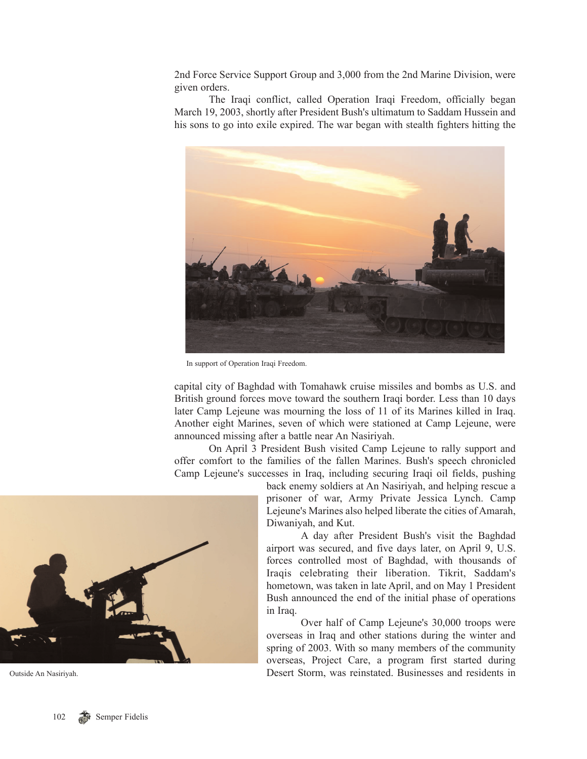2nd Force Service Support Group and 3,000 from the 2nd Marine Division, were given orders.

The Iraqi conflict, called Operation Iraqi Freedom, officially began March 19, 2003, shortly after President Bush's ultimatum to Saddam Hussein and his sons to go into exile expired. The war began with stealth fighters hitting the



In support of Operation Iraqi Freedom.

capital city of Baghdad with Tomahawk cruise missiles and bombs as U.S. and British ground forces move toward the southern Iraqi border. Less than 10 days later Camp Lejeune was mourning the loss of 11 of its Marines killed in Iraq. Another eight Marines, seven of which were stationed at Camp Lejeune, were announced missing after a battle near An Nasiriyah.

On April 3 President Bush visited Camp Lejeune to rally support and offer comfort to the families of the fallen Marines. Bush's speech chronicled Camp Lejeune's successes in Iraq, including securing Iraqi oil fields, pushing



A day after President Bush's visit the Baghdad airport was secured, and five days later, on April 9, U.S. forces controlled most of Baghdad, with thousands of Iraqis celebrating their liberation. Tikrit, Saddam's hometown, was taken in late April, and on May 1 President Bush announced the end of the initial phase of operations in Iraq.

Over half of Camp Lejeune's 30,000 troops were overseas in Iraq and other stations during the winter and spring of 2003. With so many members of the community overseas, Project Care, a program first started during Desert Storm, was reinstated. Businesses and residents in



Outside An Nasiriyah.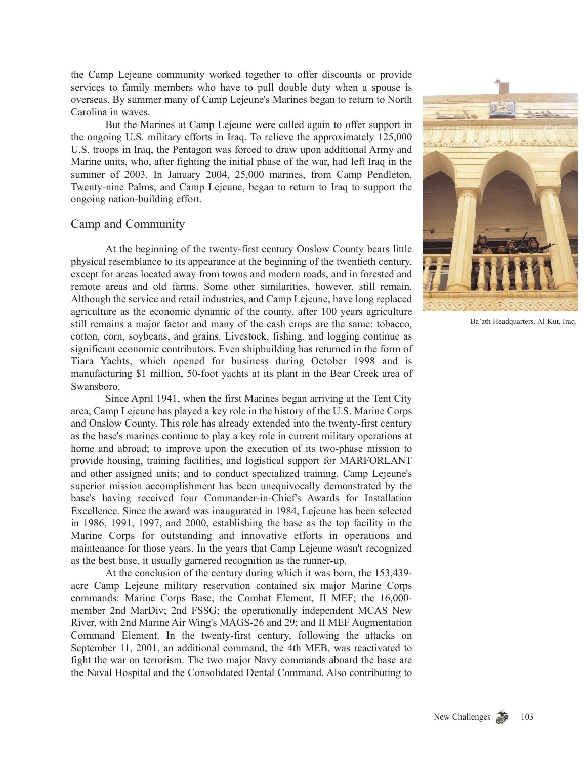the Camp Lejeune community worked together to offer discounts or provide services to family members who have to pull double duty when a spouse is overseas. By summer many of Camp Lejeune's Marines began to return to North Carolina in waves.

But the Marines at Camp Lejeune were called again to offer support in the ongoing U.S. military efforts in Iraq. To relieve the approximately 125,000 U.S. troops in Iraq, the Pentagon was forced to draw upon additional Army and Marine units, who, after fighting the initial phase of the war, had left Iraq in the summer of 2003. In January 2004, 25,000 marines, from Camp Pendleton, Twenty-nine Palms, and Camp Lejeune, began to return to Iraq to support the ongoing nation-building effort.

## Camp and Community

At the beginning of the twenty-first century Onslow County bears little physical resemblance to its appearance at the beginning of the twentieth century, except for areas located away from towns and modern roads, and in forested and remote areas and old farms. Some other similarities, however, still remain. Although the service and retail industries, and Camp Lejeune, have long replaced agriculture as the economic dynamic of the county, after 100 years agriculture still remains a major factor and many of the cash crops are the same: tobacco, cotton, corn, soybeans, and grains. Livestock, fishing, and logging continue as significant economic contributors. Even shipbuilding has returned in the form of Tiara Yachts, which opened for business during October 1998 and is manufacturing \$1 million, 50-foot yachts at its plant in the Bear Creek area of Swansboro.

Since April 1941, when the first Marines began arriving at the Tent City area, Camp Lejeune has played a key role in the history of the U.S. Marine Corps and Onslow County. This role has already extended into the twenty-first century as the base's marines continue to play a key role in current military operations at home and abroad; to improve upon the execution of its two-phase mission to provide housing, training facilities, and logistical support for MARFORLANT and other assigned units; and to conduct specialized training. Camp Lejeune's superior mission accomplishment has been unequivocally demonstrated by the base's having received four Commander-in-Chief's Awards for Installation Excellence. Since the award was inaugurated in 1984, Lejeune has been selected in 1986, 1991, 1997, and 2000, establishing the base as the top facility in the Marine Corps for outstanding and innovative efforts in operations and maintenance for those years. In the years that Camp Lejeune wasn't recognized as the best base, it usually garnered recognition as the runner-up.

At the conclusion of the century during which it was born, the 153,439 acre Camp Lejeune military reservation contained six major Marine Corps commands: Marine Corps Base; the Combat Element, II MEF; the 16,000 member 2nd MarDiv; 2nd FSSG; the operationally independent MCAS New River, with 2nd Marine Air Wing's MAGS-26 and 29; and II MEF Augmentation Command Element. In the twenty-first century, following the attacks on September 11, 2001, an additional command, the 4th MEB, was reactivated to fight the war on terrorism. The two major Navy commands aboard the base are the Naval Hospital and the Consolidated Dental Command. Also contributing to



Ba'ath Headquarters, Al Kut, Iraq.